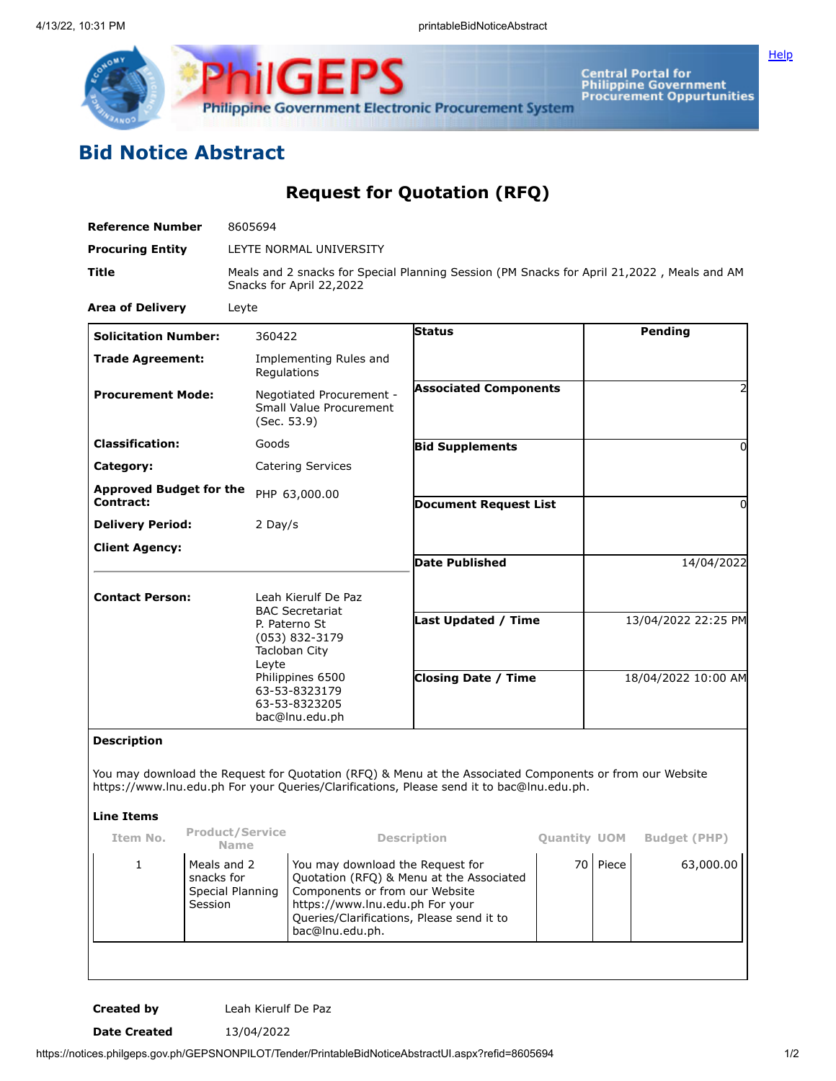

**Central Portal for<br>Philippine Government<br>Procurement Oppurtunities** 

**[Help](javascript:void(window.open()** 

## **Bid Notice Abstract**

**Request for Quotation (RFQ)**

| <b>Reference Number</b>                                                                                                         | 8605694                                                  |                                                                                                                                                                                    |                                                                                                                                                                                                                   |                                                                                                                                                                                                       |                     |                     |                     |
|---------------------------------------------------------------------------------------------------------------------------------|----------------------------------------------------------|------------------------------------------------------------------------------------------------------------------------------------------------------------------------------------|-------------------------------------------------------------------------------------------------------------------------------------------------------------------------------------------------------------------|-------------------------------------------------------------------------------------------------------------------------------------------------------------------------------------------------------|---------------------|---------------------|---------------------|
| <b>Procuring Entity</b>                                                                                                         |                                                          |                                                                                                                                                                                    | LEYTE NORMAL UNIVERSITY                                                                                                                                                                                           |                                                                                                                                                                                                       |                     |                     |                     |
| Title<br>Meals and 2 snacks for Special Planning Session (PM Snacks for April 21,2022, Meals and AM<br>Snacks for April 22,2022 |                                                          |                                                                                                                                                                                    |                                                                                                                                                                                                                   |                                                                                                                                                                                                       |                     |                     |                     |
| <b>Area of Delivery</b>                                                                                                         | Leyte                                                    |                                                                                                                                                                                    |                                                                                                                                                                                                                   |                                                                                                                                                                                                       |                     |                     |                     |
| <b>Solicitation Number:</b>                                                                                                     |                                                          | 360422                                                                                                                                                                             |                                                                                                                                                                                                                   | <b>Status</b>                                                                                                                                                                                         |                     |                     | Pending             |
| <b>Trade Agreement:</b>                                                                                                         |                                                          | Regulations                                                                                                                                                                        | Implementing Rules and                                                                                                                                                                                            |                                                                                                                                                                                                       |                     |                     |                     |
| <b>Procurement Mode:</b>                                                                                                        |                                                          | (Sec. 53.9)                                                                                                                                                                        | Negotiated Procurement -<br>Small Value Procurement                                                                                                                                                               | <b>Associated Components</b>                                                                                                                                                                          |                     |                     |                     |
| <b>Classification:</b>                                                                                                          |                                                          | Goods                                                                                                                                                                              |                                                                                                                                                                                                                   | <b>Bid Supplements</b>                                                                                                                                                                                |                     |                     | $\Omega$            |
| Category:                                                                                                                       |                                                          |                                                                                                                                                                                    | <b>Catering Services</b>                                                                                                                                                                                          |                                                                                                                                                                                                       |                     |                     |                     |
| <b>Approved Budget for the</b><br>Contract:                                                                                     |                                                          | PHP 63,000.00                                                                                                                                                                      |                                                                                                                                                                                                                   | <b>Document Request List</b>                                                                                                                                                                          |                     | $\Omega$            |                     |
| <b>Delivery Period:</b>                                                                                                         |                                                          | 2 Day/s                                                                                                                                                                            |                                                                                                                                                                                                                   |                                                                                                                                                                                                       |                     |                     |                     |
| <b>Client Agency:</b>                                                                                                           |                                                          |                                                                                                                                                                                    |                                                                                                                                                                                                                   | <b>Date Published</b>                                                                                                                                                                                 |                     |                     | 14/04/2022          |
| <b>Contact Person:</b>                                                                                                          |                                                          | Leah Kierulf De Paz<br><b>BAC Secretariat</b><br>P. Paterno St<br>(053) 832-3179<br>Tacloban City<br>Leyte<br>Philippines 6500<br>63-53-8323179<br>63-53-8323205<br>bac@lnu.edu.ph |                                                                                                                                                                                                                   | <b>Last Updated / Time</b>                                                                                                                                                                            |                     |                     | 13/04/2022 22:25 PM |
|                                                                                                                                 |                                                          |                                                                                                                                                                                    |                                                                                                                                                                                                                   | <b>Closing Date / Time</b>                                                                                                                                                                            |                     | 18/04/2022 10:00 AM |                     |
| <b>Description</b>                                                                                                              |                                                          |                                                                                                                                                                                    |                                                                                                                                                                                                                   | You may download the Request for Quotation (RFQ) & Menu at the Associated Components or from our Website<br>https://www.lnu.edu.ph For your Queries/Clarifications, Please send it to bac@lnu.edu.ph. |                     |                     |                     |
| <b>Line Items</b>                                                                                                               |                                                          |                                                                                                                                                                                    |                                                                                                                                                                                                                   |                                                                                                                                                                                                       |                     |                     |                     |
| Item No.                                                                                                                        | <b>Product/Service</b><br><b>Name</b>                    |                                                                                                                                                                                    |                                                                                                                                                                                                                   | <b>Description</b>                                                                                                                                                                                    | <b>Quantity UOM</b> |                     | <b>Budget (PHP)</b> |
| $1\,$                                                                                                                           | Meals and 2<br>snacks for<br>Special Planning<br>Session |                                                                                                                                                                                    | You may download the Request for<br>Quotation (RFQ) & Menu at the Associated<br>Components or from our Website<br>https://www.lnu.edu.ph For your<br>Queries/Clarifications, Please send it to<br>bac@lnu.edu.ph. |                                                                                                                                                                                                       |                     | 70 Piece            | 63,000.00           |

**Created by** Leah Kierulf De Paz

**Date Created** 13/04/2022

https://notices.philgeps.gov.ph/GEPSNONPILOT/Tender/PrintableBidNoticeAbstractUI.aspx?refid=8605694 1/2